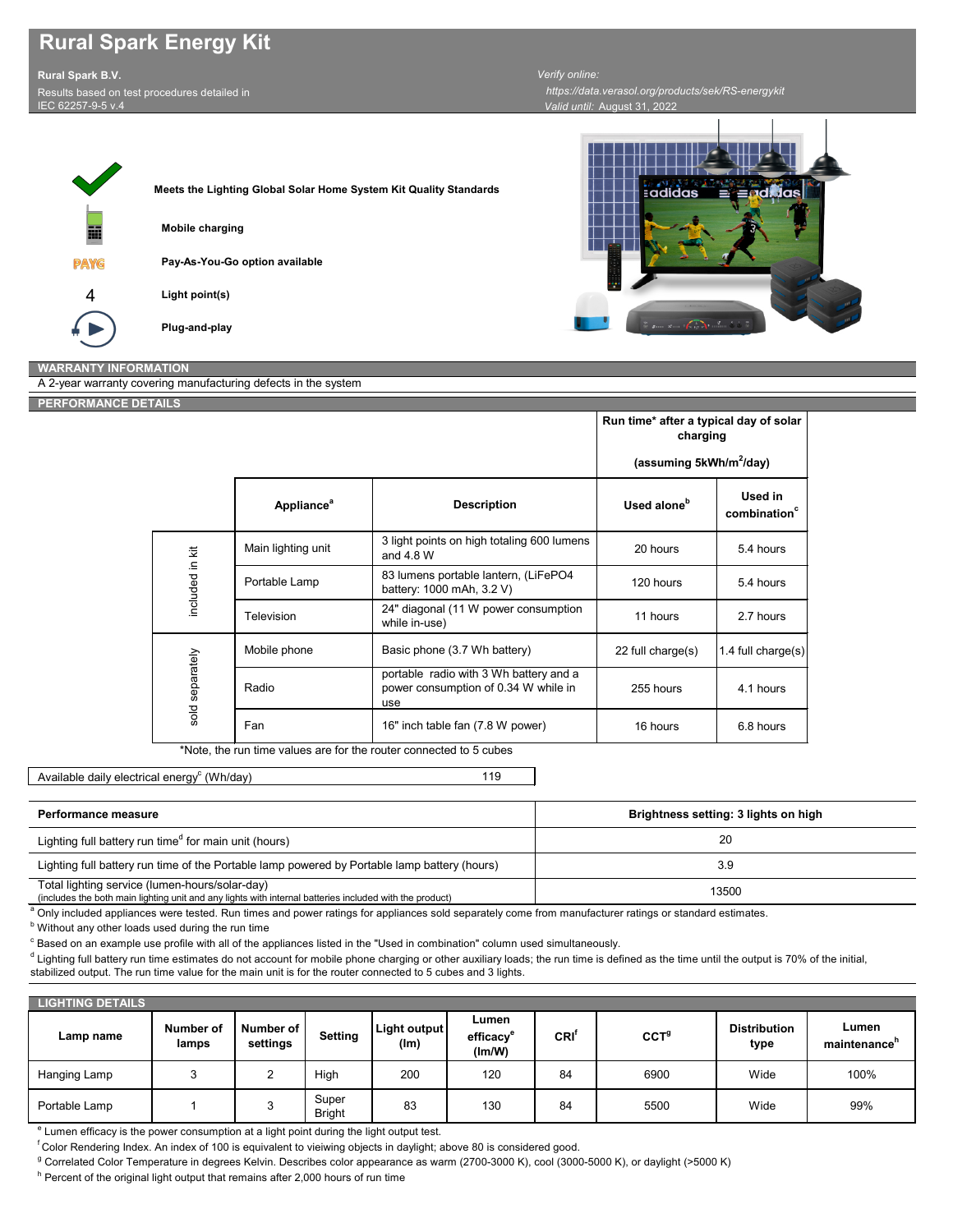\*Note, the run time values are for the router connected to 5 cubes

Available daily electrical energy $^{\rm c}$  (Wh/day)

20 **Brightness setting: 3 lights on high** Lighting full battery run time of the Portable lamp powered by Portable lamp battery (hours) 3.9 **Performance measure** Lighting full battery run time<sup>d</sup> for main unit (hours)

119

| <b>LIGHTING DETAILS</b> |                           |                              |                        |                      |                                          |     |                  |                             |                                   |
|-------------------------|---------------------------|------------------------------|------------------------|----------------------|------------------------------------------|-----|------------------|-----------------------------|-----------------------------------|
| Lamp name               | <b>Number of</b><br>lamps | <b>Number of</b><br>settings | <b>Setting</b>         | Light output<br>(lm) | Lumen<br>efficacy <sup>e</sup><br>(Im/W) | CRI | CCT <sup>9</sup> | <b>Distribution</b><br>type | Lumen<br>maintenance <sup>n</sup> |
| Hanging Lamp            | ົ                         | ∸                            | High                   | 200                  | 120                                      | 84  | 6900             | Wide                        | 100%                              |
| Portable Lamp           |                           | ◡                            | Super<br><b>Bright</b> | 83                   | 130                                      | 84  | 5500             | Wide                        | 99%                               |

 $e$  Lumen efficacy is the power consumption at a light point during the light output test.

f Color Rendering Index. An index of 100 is equivalent to vieiwing objects in daylight; above 80 is considered good.

<sup>g</sup> Correlated Color Temperature in degrees Kelvin. Describes color appearance as warm (2700-3000 K), cool (3000-5000 K), or daylight (>5000 K)

 $^{\mathsf{h}}$  Percent of the original light output that remains after 2,000 hours of run time

 $^{\text{d}}$  Lighting full battery run time estimates do not account for mobile phone charging or other auxiliary loads; the run time is defined as the time until the output is 70% of the initial, stabilized output. The run time value for the main unit is for the router connected to 5 cubes and 3 lights.

## **Rural Spark Energy Kit**





*Valid until:* August 31, 2022  *https://data.verasol.org/products/sek/RS-energykit*

**PERFORMANCE DETAILS**

A 2-year warranty covering manufacturing defects in the system

|                 |                                                                                    |                                                                                       | Run time* after a typical day of solar<br>charging<br>(assuming 5kWh/m <sup>2</sup> /day) |                                     |  |
|-----------------|------------------------------------------------------------------------------------|---------------------------------------------------------------------------------------|-------------------------------------------------------------------------------------------|-------------------------------------|--|
|                 | Appliance <sup>a</sup>                                                             | <b>Description</b>                                                                    | Used alone <sup>b</sup>                                                                   | Used in<br>combination <sup>c</sup> |  |
| included in kit | Main lighting unit                                                                 | 3 light points on high totaling 600 lumens<br>and 4.8 W                               | 20 hours                                                                                  | 5.4 hours                           |  |
|                 | 83 lumens portable lantern, (LiFePO4<br>Portable Lamp<br>battery: 1000 mAh, 3.2 V) |                                                                                       | 120 hours                                                                                 | 5.4 hours                           |  |
|                 | <b>Television</b>                                                                  | 24" diagonal (11 W power consumption<br>while in-use)                                 | 11 hours                                                                                  | 2.7 hours                           |  |
| sold separately | Mobile phone                                                                       | Basic phone (3.7 Wh battery)                                                          | 22 full charge(s)                                                                         | 1.4 full charge $(s)$               |  |
|                 | Radio                                                                              | portable radio with 3 Wh battery and a<br>power consumption of 0.34 W while in<br>use | 255 hours                                                                                 | 4.1 hours                           |  |
|                 | Fan                                                                                | 16" inch table fan (7.8 W power)                                                      | 16 hours                                                                                  | 6.8 hours                           |  |

| -guning remember 2011 and the change of the company of the company were given to provide                                                                            |       |  |
|---------------------------------------------------------------------------------------------------------------------------------------------------------------------|-------|--|
| Total lighting service (lumen-hours/solar-day)                                                                                                                      | 13500 |  |
| (includes the both main lighting unit and any lights with internal batteries included with the product)                                                             |       |  |
| <sup>a</sup> Only included appliances were tested. Run times and power ratings for appliances sold separately come from manufacturer ratings or standard estimates. |       |  |
|                                                                                                                                                                     |       |  |

 $^{\rm b}$  Without any other loads used during the run time

 $^\mathrm{c}$  Based on an example use profile with all of the appliances listed in the "Used in combination" column used simultaneously.

**Rural Spark B.V.** Results based on test procedures detailed in

IEC 62257-9-5 v.4

## *Verify online:*

## **WARRANTY INFORMATION**